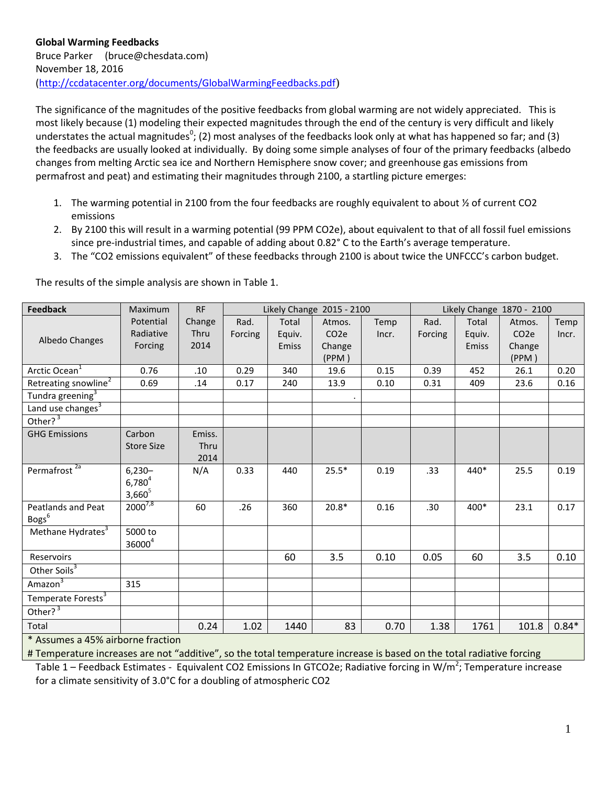The significance of the magnitudes of the positive feedbacks from global warming are not widely appreciated. This is most likely because (1) modeling their expected magnitudes through the end of the century is very difficult and likely understates the actual magnitudes<sup>0</sup>; (2) most analyses of the feedbacks look only at what has happened so far; and (3) the feedbacks are usually looked at individually. By doing some simple analyses of four of the primary feedbacks (albedo changes from melting Arctic sea ice and Northern Hemisphere snow cover; and greenhouse gas emissions from permafrost and peat) and estimating their magnitudes through 2100, a startling picture emerges:

- 1. The warming potential in 2100 from the four feedbacks are roughly equivalent to about ½ of current CO2 emissions
- 2. By 2100 this will result in a warming potential (99 PPM CO2e), about equivalent to that of all fossil fuel emissions since pre-industrial times, and capable of adding about 0.82° C to the Earth's average temperature.
- 3. The "CO2 emissions equivalent" of these feedbacks through 2100 is about twice the UNFCCC's carbon budget.

| <b>Feedback</b>                  | Maximum            | <b>RF</b> | Likely Change 2015 - 2100 |        | Likely Change 1870 - 2100 |       |         |        |                   |         |
|----------------------------------|--------------------|-----------|---------------------------|--------|---------------------------|-------|---------|--------|-------------------|---------|
|                                  | Potential          | Change    | Rad.                      | Total  | Atmos.                    | Temp  | Rad.    | Total  | Atmos.            | Temp    |
| Albedo Changes                   | Radiative          | Thru      | Forcing                   | Equiv. | CO <sub>2</sub> e         | Incr. | Forcing | Equiv. | CO <sub>2</sub> e | Incr.   |
|                                  | Forcing            | 2014      |                           | Emiss  | Change                    |       |         | Emiss  | Change            |         |
|                                  |                    |           |                           |        | (PPM)                     |       |         |        | (PPM)             |         |
| Arctic Ocean <sup>1</sup>        | 0.76               | .10       | 0.29                      | 340    | 19.6                      | 0.15  | 0.39    | 452    | 26.1              | 0.20    |
| Retreating snowline <sup>2</sup> | 0.69               | .14       | 0.17                      | 240    | 13.9                      | 0.10  | 0.31    | 409    | 23.6              | 0.16    |
| Tundra greening <sup>3</sup>     |                    |           |                           |        |                           |       |         |        |                   |         |
| Land use changes <sup>3</sup>    |                    |           |                           |        |                           |       |         |        |                   |         |
| Other? $3$                       |                    |           |                           |        |                           |       |         |        |                   |         |
| <b>GHG Emissions</b>             | Carbon             | Emiss.    |                           |        |                           |       |         |        |                   |         |
|                                  | <b>Store Size</b>  | Thru      |                           |        |                           |       |         |        |                   |         |
|                                  |                    | 2014      |                           |        |                           |       |         |        |                   |         |
| Permafrost <sup>2a</sup>         | $6,230-$           | N/A       | 0.33                      | 440    | $25.5*$                   | 0.19  | .33     | 440*   | 25.5              | 0.19    |
|                                  | $6,780^{4}$        |           |                           |        |                           |       |         |        |                   |         |
|                                  | $3,660^5$          |           |                           |        |                           |       |         |        |                   |         |
| Peatlands and Peat               | $2000^{7,8}$       | 60        | .26                       | 360    | $20.8*$                   | 0.16  | .30     | 400*   | 23.1              | 0.17    |
| Bogs <sup>6</sup>                |                    |           |                           |        |                           |       |         |        |                   |         |
| Methane Hydrates <sup>3</sup>    | 5000 to            |           |                           |        |                           |       |         |        |                   |         |
|                                  | 36000 <sup>4</sup> |           |                           |        |                           |       |         |        |                   |         |
| Reservoirs                       |                    |           |                           | 60     | 3.5                       | 0.10  | 0.05    | 60     | 3.5               | 0.10    |
| Other Soils <sup>3</sup>         |                    |           |                           |        |                           |       |         |        |                   |         |
| Amazon $3$                       | 315                |           |                           |        |                           |       |         |        |                   |         |
| Temperate Forests <sup>3</sup>   |                    |           |                           |        |                           |       |         |        |                   |         |
| Other? $3$                       |                    |           |                           |        |                           |       |         |        |                   |         |
| Total                            |                    | 0.24      | 1.02                      | 1440   | 83                        | 0.70  | 1.38    | 1761   | 101.8             | $0.84*$ |

The results of the simple analysis are shown in Table 1.

\* Assumes a 45% airborne fraction

# Temperature increases are not "additive", so the total temperature increase is based on the total radiative forcing

Table 1 – Feedback Estimates - Equivalent CO2 Emissions In GTCO2e; Radiative forcing in W/m<sup>2</sup>; Temperature increase for a climate sensitivity of 3.0°C for a doubling of atmospheric CO2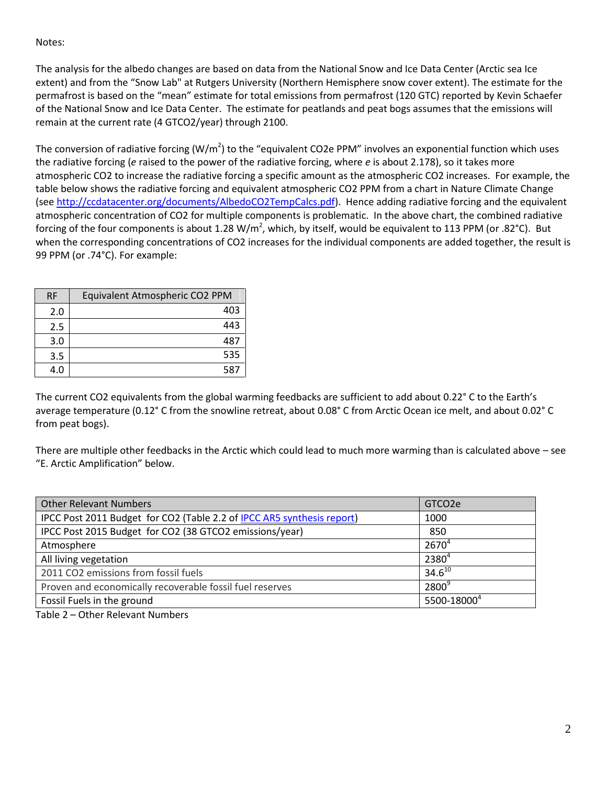Notes:

The analysis for the albedo changes are based on data from the National Snow and Ice Data Center (Arctic sea Ice extent) and from the "Snow Lab" at Rutgers University (Northern Hemisphere snow cover extent). The estimate for the permafrost is based on the "mean" estimate for total emissions from permafrost (120 GTC) reported by Kevin Schaefer of the National Snow and Ice Data Center. The estimate for peatlands and peat bogs assumes that the emissions will remain at the current rate (4 GTCO2/year) through 2100.

The conversion of radiative forcing (W/m<sup>2</sup>) to the "equivalent CO2e PPM" involves an exponential function which uses the radiative forcing (*e* raised to the power of the radiative forcing, where *e* is about 2.178), so it takes more atmospheric CO2 to increase the radiative forcing a specific amount as the atmospheric CO2 increases. For example, the table below shows the radiative forcing and equivalent atmospheric CO2 PPM from a chart in Nature Climate Change (see [http://ccdatacenter.org/documents/AlbedoCO2TempCalcs.pdf\)](http://ccdatacenter.org/documents/AlbedoCO2TempCalcs.pdf). Hence adding radiative forcing and the equivalent atmospheric concentration of CO2 for multiple components is problematic. In the above chart, the combined radiative forcing of the four components is about 1.28 W/m<sup>2</sup>, which, by itself, would be equivalent to 113 PPM (or .82°C). But when the corresponding concentrations of CO2 increases for the individual components are added together, the result is 99 PPM (or .74°C). For example:

| <b>RF</b> | Equivalent Atmospheric CO2 PPM |  |  |
|-----------|--------------------------------|--|--|
| 2.0       | 403                            |  |  |
| 2.5       | 443                            |  |  |
| 3.0       | 487                            |  |  |
| 3.5       | 535                            |  |  |
| 4.0       | 587                            |  |  |

The current CO2 equivalents from the global warming feedbacks are sufficient to add about 0.22° C to the Earth's average temperature (0.12° C from the snowline retreat, about 0.08° C from Arctic Ocean ice melt, and about 0.02° C from peat bogs).

There are multiple other feedbacks in the Arctic which could lead to much more warming than is calculated above – see "E. Arctic Amplification" below.

| <b>Other Relevant Numbers</b>                                          | GTCO <sub>2</sub> e     |
|------------------------------------------------------------------------|-------------------------|
| IPCC Post 2011 Budget for CO2 (Table 2.2 of IPCC AR5 synthesis report) | 1000                    |
| IPCC Post 2015 Budget for CO2 (38 GTCO2 emissions/year)                | 850                     |
| Atmosphere                                                             | $2670^{4}$              |
| All living vegetation                                                  | $2380^{4}$              |
| 2011 CO2 emissions from fossil fuels                                   | $34.6^{10}$             |
| Proven and economically recoverable fossil fuel reserves               | $2800^9$                |
| Fossil Fuels in the ground                                             | 5500-18000 <sup>4</sup> |

Table 2 – Other Relevant Numbers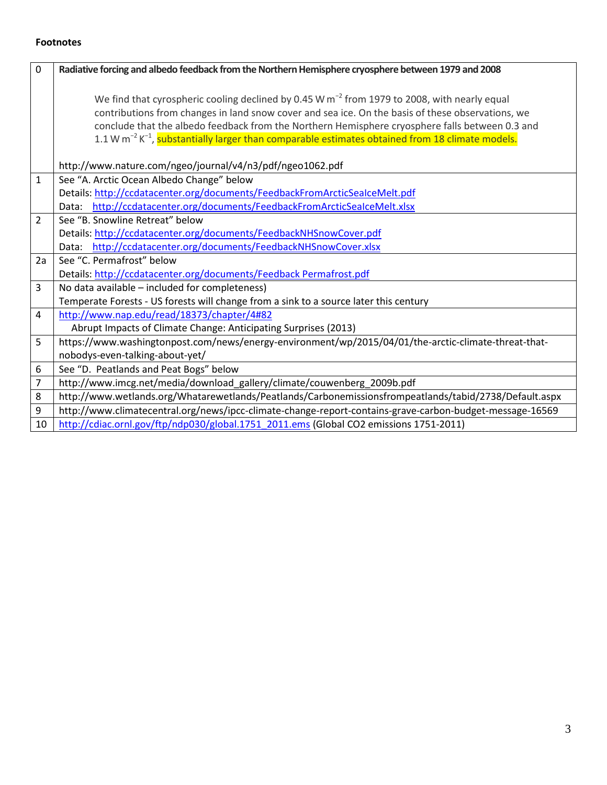#### **Footnotes**

| 0              | Radiative forcing and albedo feedback from the Northern Hemisphere cryosphere between 1979 and 2008                                                                                                                                                                                                                                                                                                                                  |
|----------------|--------------------------------------------------------------------------------------------------------------------------------------------------------------------------------------------------------------------------------------------------------------------------------------------------------------------------------------------------------------------------------------------------------------------------------------|
|                | We find that cyrospheric cooling declined by 0.45 W $m^{-2}$ from 1979 to 2008, with nearly equal<br>contributions from changes in land snow cover and sea ice. On the basis of these observations, we<br>conclude that the albedo feedback from the Northern Hemisphere cryosphere falls between 0.3 and<br>1.1 W m <sup>-2</sup> K <sup>-1</sup> , substantially larger than comparable estimates obtained from 18 climate models. |
|                | http://www.nature.com/ngeo/journal/v4/n3/pdf/ngeo1062.pdf                                                                                                                                                                                                                                                                                                                                                                            |
| $\mathbf{1}$   | See "A. Arctic Ocean Albedo Change" below<br>Details: http://ccdatacenter.org/documents/FeedbackFromArcticSealceMelt.pdf                                                                                                                                                                                                                                                                                                             |
|                | http://ccdatacenter.org/documents/FeedbackFromArcticSealceMelt.xlsx<br>Data:                                                                                                                                                                                                                                                                                                                                                         |
| $\overline{2}$ | See "B. Snowline Retreat" below                                                                                                                                                                                                                                                                                                                                                                                                      |
|                | Details: http://ccdatacenter.org/documents/FeedbackNHSnowCover.pdf                                                                                                                                                                                                                                                                                                                                                                   |
|                | http://ccdatacenter.org/documents/FeedbackNHSnowCover.xlsx<br>Data:                                                                                                                                                                                                                                                                                                                                                                  |
| 2a             | See "C. Permafrost" below                                                                                                                                                                                                                                                                                                                                                                                                            |
|                | Details: http://ccdatacenter.org/documents/Feedback Permafrost.pdf                                                                                                                                                                                                                                                                                                                                                                   |
| 3              | No data available - included for completeness)                                                                                                                                                                                                                                                                                                                                                                                       |
|                | Temperate Forests - US forests will change from a sink to a source later this century                                                                                                                                                                                                                                                                                                                                                |
| 4              | http://www.nap.edu/read/18373/chapter/4#82                                                                                                                                                                                                                                                                                                                                                                                           |
|                | Abrupt Impacts of Climate Change: Anticipating Surprises (2013)                                                                                                                                                                                                                                                                                                                                                                      |
| 5              | https://www.washingtonpost.com/news/energy-environment/wp/2015/04/01/the-arctic-climate-threat-that-                                                                                                                                                                                                                                                                                                                                 |
|                | nobodys-even-talking-about-yet/                                                                                                                                                                                                                                                                                                                                                                                                      |
| 6              | See "D. Peatlands and Peat Bogs" below                                                                                                                                                                                                                                                                                                                                                                                               |
| 7              | http://www.imcg.net/media/download_gallery/climate/couwenberg_2009b.pdf                                                                                                                                                                                                                                                                                                                                                              |
| 8              | http://www.wetlands.org/Whatarewetlands/Peatlands/Carbonemissionsfrompeatlands/tabid/2738/Default.aspx                                                                                                                                                                                                                                                                                                                               |
| 9              | http://www.climatecentral.org/news/ipcc-climate-change-report-contains-grave-carbon-budget-message-16569                                                                                                                                                                                                                                                                                                                             |
| 10             | http://cdiac.ornl.gov/ftp/ndp030/global.1751_2011.ems (Global CO2 emissions 1751-2011)                                                                                                                                                                                                                                                                                                                                               |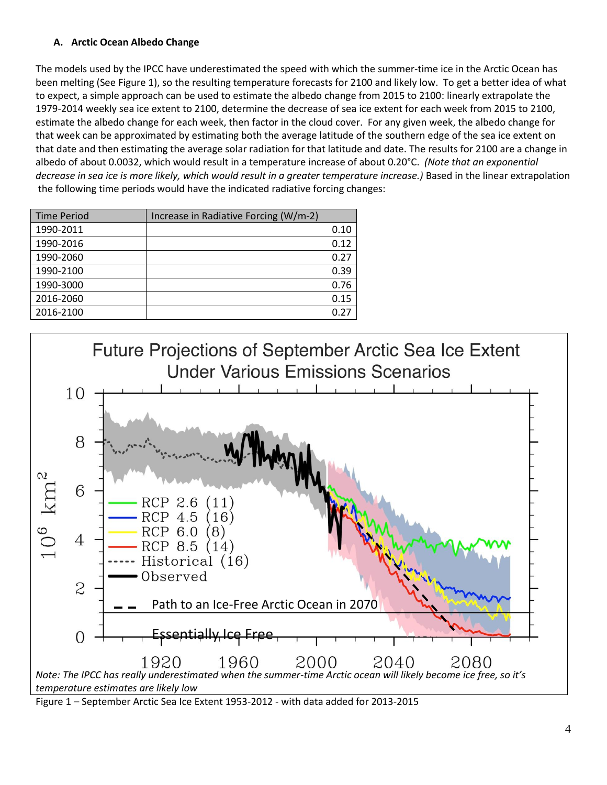## **A. Arctic Ocean Albedo Change**

The models used by the IPCC have underestimated the speed with which the summer-time ice in the Arctic Ocean has been melting (See Figure 1), so the resulting temperature forecasts for 2100 and likely low. To get a better idea of what to expect, a simple approach can be used to estimate the albedo change from 2015 to 2100: linearly extrapolate the 1979-2014 weekly sea ice extent to 2100, determine the decrease of sea ice extent for each week from 2015 to 2100, estimate the albedo change for each week, then factor in the cloud cover. For any given week, the albedo change for that week can be approximated by estimating both the average latitude of the southern edge of the sea ice extent on that date and then estimating the average solar radiation for that latitude and date. The results for 2100 are a change in albedo of about 0.0032, which would result in a temperature increase of about 0.20°C. *(Note that an exponential decrease in sea ice is more likely, which would result in a greater temperature increase.)* Based in the linear extrapolation the following time periods would have the indicated radiative forcing changes:

| <b>Time Period</b> | Increase in Radiative Forcing (W/m-2) |      |
|--------------------|---------------------------------------|------|
| 1990-2011          |                                       | 0.10 |
| 1990-2016          |                                       | 0.12 |
| 1990-2060          |                                       | 0.27 |
| 1990-2100          |                                       | 0.39 |
| 1990-3000          |                                       | 0.76 |
| 2016-2060          |                                       | 0.15 |
| 2016-2100          |                                       | በ 27 |



Figure 1 – September Arctic Sea Ice Extent 1953-2012 - with data added for 2013-2015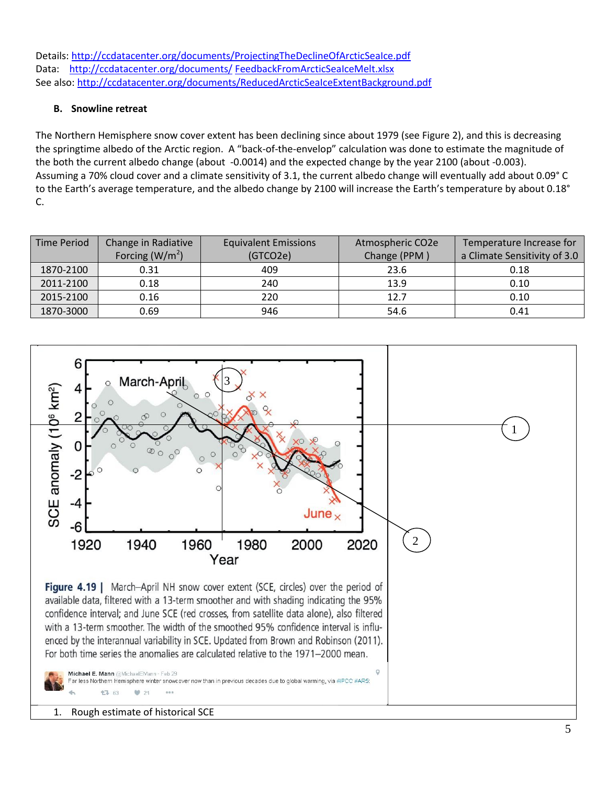Details:<http://ccdatacenter.org/documents/ProjectingTheDeclineOfArcticSeaIce.pdf> Data: [http://ccdatacenter.org/documents/](http://ccdatacenter.org/documents/FeedbackNHSnowCover.xlsx) FeedbackFromArcticSeaIceMelt.xlsx See also: <http://ccdatacenter.org/documents/ReducedArcticSeaIceExtentBackground.pdf>

## **B. Snowline retreat**

The Northern Hemisphere snow cover extent has been declining since about 1979 (see Figure 2), and this is decreasing the springtime albedo of the Arctic region. A "back-of-the-envelop" calculation was done to estimate the magnitude of the both the current albedo change (about -0.0014) and the expected change by the year 2100 (about -0.003). Assuming a 70% cloud cover and a climate sensitivity of 3.1, the current albedo change will eventually add about 0.09° C to the Earth's average temperature, and the albedo change by 2100 will increase the Earth's temperature by about 0.18° C.

| <b>Time Period</b> | Change in Radiative | <b>Equivalent Emissions</b> | Atmospheric CO2e | Temperature Increase for     |  |
|--------------------|---------------------|-----------------------------|------------------|------------------------------|--|
|                    | Forcing ( $W/m2$ )  | (GTCO2e)                    | Change (PPM)     | a Climate Sensitivity of 3.0 |  |
| 1870-2100          | 0.31                | 409                         | 23.6             | 0.18                         |  |
| 2011-2100          | 0.18                | 240                         | 13.9             | 0.10                         |  |
| 2015-2100          | 0.16                | 220                         | 12.7             | 0.10                         |  |
| 1870-3000          | 0.69                | 946                         | 54.6             | 0.41                         |  |



1. Rough estimate of historical SCE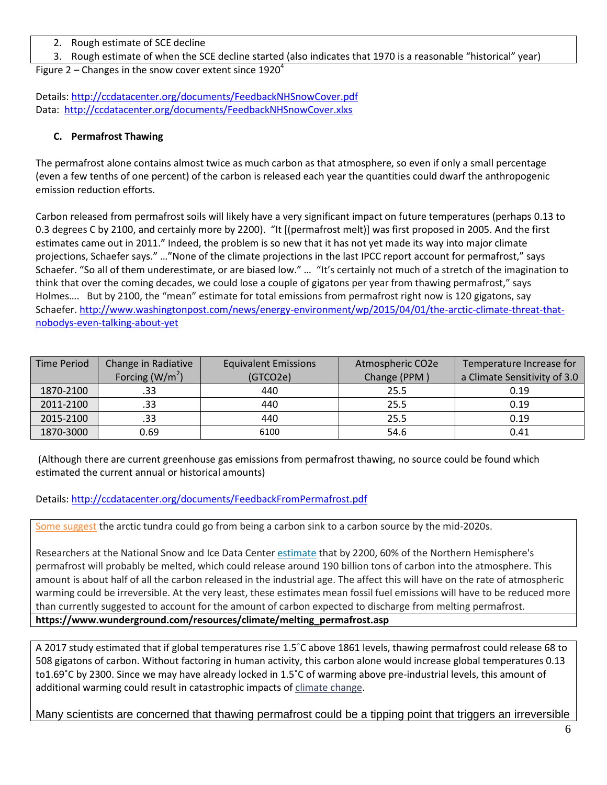- 2. Rough estimate of SCE decline
- 3. Rough estimate of when the SCE decline started (also indicates that 1970 is a reasonable "historical" year)

Figure 2 – Changes in the snow cover extent since  $1920^4$ 

Details:<http://ccdatacenter.org/documents/FeedbackNHSnowCover.pdf> Data: <http://ccdatacenter.org/documents/FeedbackNHSnowCover.xlxs>

### **C. Permafrost Thawing**

The permafrost alone contains almost twice as much carbon as that atmosphere, so even if only a small percentage (even a few tenths of one percent) of the carbon is released each year the quantities could dwarf the anthropogenic emission reduction efforts.

Carbon released from permafrost soils will likely have a very significant impact on future temperatures (perhaps 0.13 to 0.3 degrees C by 2100, and certainly more by 2200). "It [(permafrost melt)] was first proposed in 2005. And the first estimates came out in 2011." Indeed, the problem is so new that it has not yet made its way into major climate projections, Schaefer says." …"None of the climate projections in the last IPCC report account for permafrost," says Schaefer. "So all of them underestimate, or are biased low." … "It's certainly not much of a stretch of the imagination to think that over the coming decades, we could lose a couple of gigatons per year from thawing permafrost," says Holmes…. But by 2100, the "mean" estimate for total emissions from permafrost right now is 120 gigatons, say Schaefer. [http://www.washingtonpost.com/news/energy-environment/wp/2015/04/01/the-arctic-climate-threat-that](http://www.washingtonpost.com/news/energy-environment/wp/2015/04/01/the-arctic-climate-threat-that-nobodys-even-talking-about-yet)[nobodys-even-talking-about-yet](http://www.washingtonpost.com/news/energy-environment/wp/2015/04/01/the-arctic-climate-threat-that-nobodys-even-talking-about-yet)

| Time Period | Change in Radiative | <b>Equivalent Emissions</b> | Atmospheric CO2e | Temperature Increase for     |  |
|-------------|---------------------|-----------------------------|------------------|------------------------------|--|
|             | Forcing ( $W/m2$ )  | (GTCO2e)                    | Change (PPM)     | a Climate Sensitivity of 3.0 |  |
| 1870-2100   | .33                 | 440                         | 25.5             | 0.19                         |  |
| 2011-2100   | .33                 | 440                         | 25.5             | 0.19                         |  |
| 2015-2100   | .33                 | 440                         | 25.5             | 0.19                         |  |
| 1870-3000   | 0.69                | 6100                        | 54.6             | 0.41                         |  |

(Although there are current greenhouse gas emissions from permafrost thawing, no source could be found which estimated the current annual or historical amounts)

Details:<http://ccdatacenter.org/documents/FeedbackFromPermafrost.pdf>

[Some suggest](http://onlinelibrary.wiley.com/doi/10.1111/j.1600-0889.2011.00527.x/abstract) the arctic tundra could go from being a carbon sink to a carbon source by the mid-2020s.

Researchers at the National Snow and Ice Data Center [estimate](http://news.discovery.com/earth/unlocking-arctic-carbon-110223.html#mkcpgn=rssnws1) that by 2200, 60% of the Northern Hemisphere's permafrost will probably be melted, which could release around 190 billion tons of carbon into the atmosphere. This amount is about half of all the carbon released in the industrial age. The affect this will have on the rate of atmospheric warming could be irreversible. At the very least, these estimates mean fossil fuel emissions will have to be reduced more than currently suggested to account for the amount of carbon expected to discharge from melting permafrost. **https://www.wunderground.com/resources/climate/melting\_permafrost.asp**

A 2017 study estimated that if global temperatures rise 1.5˚C above 1861 levels, thawing permafrost could release 68 to 508 gigatons of carbon. Without factoring in human activity, this carbon alone would increase global temperatures 0.13 to1.69˚C by 2300. Since we may have already locked in 1.5˚C of warming above pre-industrial levels, this amount of additional warming could result in catastrophic impacts of [climate change.](https://phys.org/tags/climate+change/)

Many scientists are concerned that thawing permafrost could be a tipping point that triggers an irreversible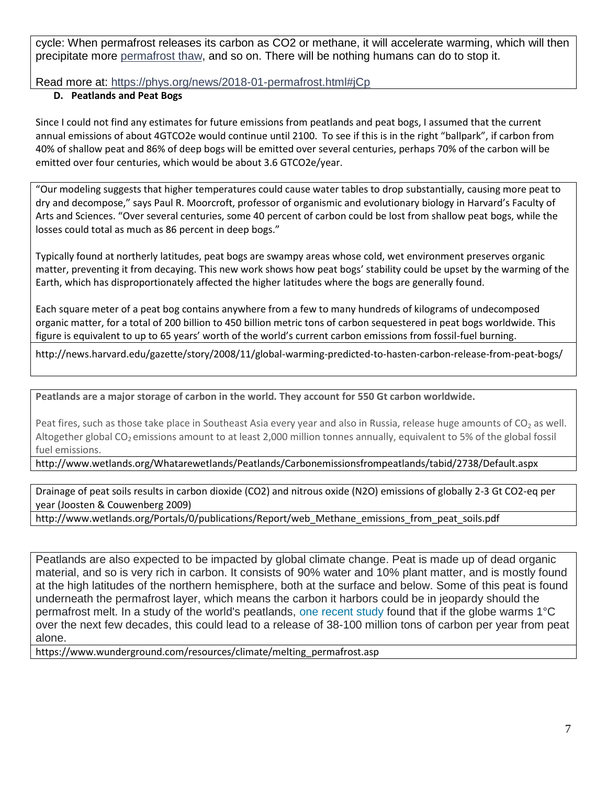cycle: When permafrost releases its carbon as CO2 or methane, it will accelerate warming, which will then precipitate more [permafrost thaw,](https://phys.org/tags/permafrost+thaw/) and so on. There will be nothing humans can do to stop it.

Read more at: <https://phys.org/news/2018-01-permafrost.html#jCp>

# **D. Peatlands and Peat Bogs**

Since I could not find any estimates for future emissions from peatlands and peat bogs, I assumed that the current annual emissions of about 4GTCO2e would continue until 2100. To see if this is in the right "ballpark", if carbon from 40% of shallow peat and 86% of deep bogs will be emitted over several centuries, perhaps 70% of the carbon will be emitted over four centuries, which would be about 3.6 GTCO2e/year.

"Our modeling suggests that higher temperatures could cause water tables to drop substantially, causing more peat to dry and decompose," says Paul R. Moorcroft, professor of organismic and evolutionary biology in Harvard's Faculty of Arts and Sciences. "Over several centuries, some 40 percent of carbon could be lost from shallow peat bogs, while the losses could total as much as 86 percent in deep bogs."

Typically found at northerly latitudes, peat bogs are swampy areas whose cold, wet environment preserves organic matter, preventing it from decaying. This new work shows how peat bogs' stability could be upset by the warming of the Earth, which has disproportionately affected the higher latitudes where the bogs are generally found.

Each square meter of a peat bog contains anywhere from a few to many hundreds of kilograms of undecomposed organic matter, for a total of 200 billion to 450 billion metric tons of carbon sequestered in peat bogs worldwide. This figure is equivalent to up to 65 years' worth of the world's current carbon emissions from fossil-fuel burning.

http://news.harvard.edu/gazette/story/2008/11/global-warming-predicted-to-hasten-carbon-release-from-peat-bogs/

**Peatlands are a major storage of carbon in the world. They account for 550 Gt carbon worldwide.**

Peat fires, such as those take place in Southeast Asia every year and also in Russia, release huge amounts of  $CO<sub>2</sub>$  as well. Altogether global CO<sub>2</sub> emissions amount to at least 2,000 million tonnes annually, equivalent to 5% of the global fossil fuel emissions.

http://www.wetlands.org/Whatarewetlands/Peatlands/Carbonemissionsfrompeatlands/tabid/2738/Default.aspx

Drainage of peat soils results in carbon dioxide (CO2) and nitrous oxide (N2O) emissions of globally 2-3 Gt CO2-eq per year (Joosten & Couwenberg 2009)

http://www.wetlands.org/Portals/0/publications/Report/web\_Methane\_emissions\_from\_peat\_soils.pdf

Peatlands are also expected to be impacted by global climate change. Peat is made up of dead organic material, and so is very rich in carbon. It consists of 90% water and 10% plant matter, and is mostly found at the high latitudes of the northern hemisphere, both at the surface and below. Some of this peat is found underneath the permafrost layer, which means the carbon it harbors could be in jeopardy should the permafrost melt. In a study of the world's peatlands, [one recent study](http://www.nature.com/nature/journal/v460/n7255/abs/nature08216.html) found that if the globe warms 1°C over the next few decades, this could lead to a release of 38-100 million tons of carbon per year from peat alone.

https://www.wunderground.com/resources/climate/melting\_permafrost.asp